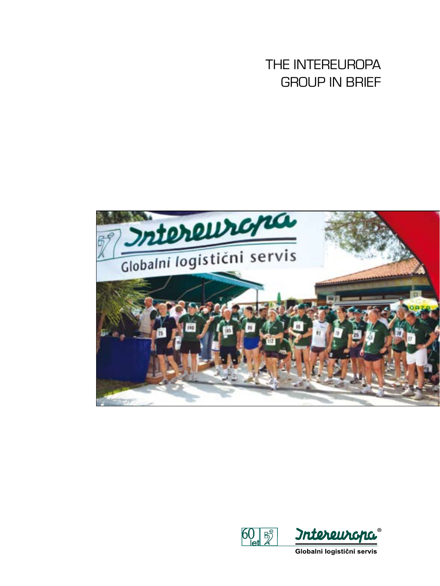THE INTEREUROPA GROUP IN BRIEF





Globalni logistični servis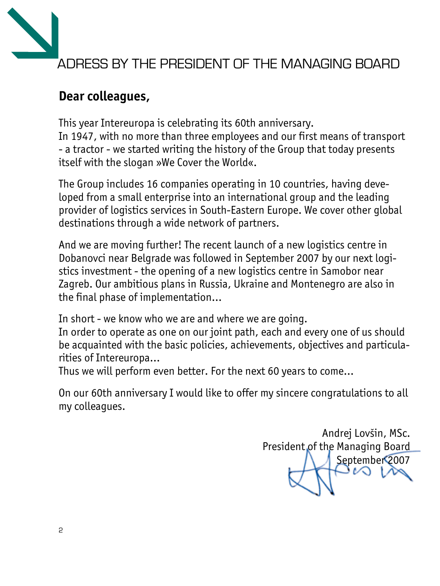

# **Dear colleagues,**

This year Intereuropa is celebrating its 60th anniversary. In 1947, with no more than three employees and our first means of transport - a tractor - we started writing the history of the Group that today presents itself with the slogan »We Cover the World«.

The Group includes 16 companies operating in 10 countries, having developed from a small enterprise into an international group and the leading provider of logistics services in South-Eastern Europe. We cover other global destinations through a wide network of partners.

And we are moving further! The recent launch of a new logistics centre in Dobanovci near Belgrade was followed in September 2007 by our next logistics investment - the opening of a new logistics centre in Samobor near Zagreb. Our ambitious plans in Russia, Ukraine and Montenegro are also in the final phase of implementation…

In short - we know who we are and where we are going.

In order to operate as one on our joint path, each and every one of us should be acquainted with the basic policies, achievements, objectives and particularities of Intereuropa…

Thus we will perform even better. For the next 60 years to come…

On our 60th anniversary I would like to offer my sincere congratulations to all my colleagues.

Andrej Lovšin, MSc. President of the Managing Board September 2007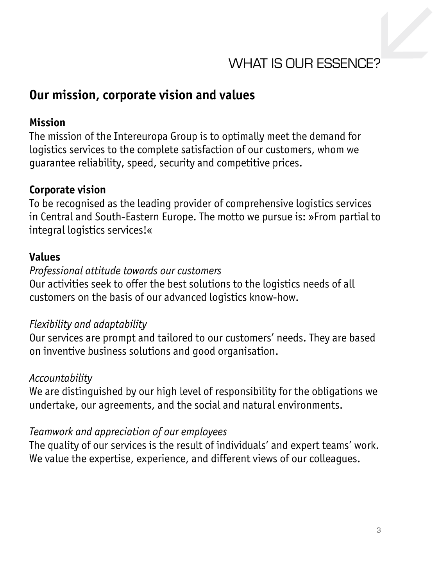

### **Our mission, corporate vision and values**

#### **Mission**

The mission of the Intereuropa Group is to optimally meet the demand for logistics services to the complete satisfaction of our customers, whom we guarantee reliability, speed, security and competitive prices.

#### **Corporate vision**

To be recognised as the leading provider of comprehensive logistics services in Central and South-Eastern Europe. The motto we pursue is: »From partial to integral logistics services!«

#### **Values**

#### *Professional attitude towards our customers*

Our activities seek to offer the best solutions to the logistics needs of all customers on the basis of our advanced logistics know-how.

#### *Flexibility and adaptability*

Our services are prompt and tailored to our customers' needs. They are based on inventive business solutions and good organisation.

#### *Accountability*

We are distinguished by our high level of responsibility for the obligations we undertake, our agreements, and the social and natural environments.

#### *Teamwork and appreciation of our employees*

The quality of our services is the result of individuals' and expert teams' work. We value the expertise, experience, and different views of our colleagues.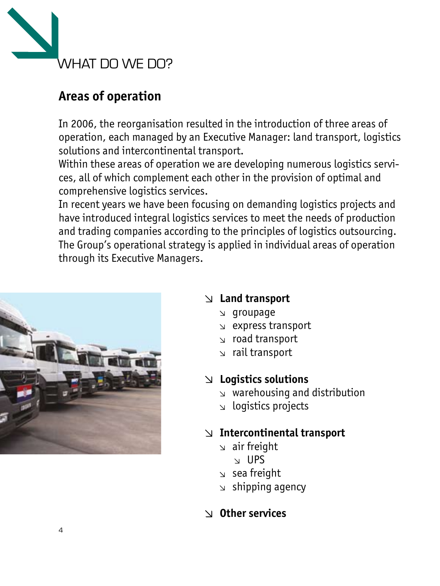

# **Areas of operation**

In 2006, the reorganisation resulted in the introduction of three areas of operation, each managed by an Executive Manager: land transport, logistics solutions and intercontinental transport.

Within these areas of operation we are developing numerous logistics services, all of which complement each other in the provision of optimal and comprehensive logistics services.

In recent years we have been focusing on demanding logistics projects and have introduced integral logistics services to meet the needs of production and trading companies according to the principles of logistics outsourcing. The Group's operational strategy is applied in individual areas of operation through its Executive Managers.



## **Land transport**

- groupage
- express transport
- road transport
- $\sqrt{r}$  rail transport

### **Logistics solutions**

- warehousing and distribution
- $\vert$  logistics projects

## **Intercontinental transport**

- $\sqrt{a}$  air freight
	- $\vee$  UPS
- $\sqrt{s}$  sea freight
- $\le$  shipping agency

## **Other services**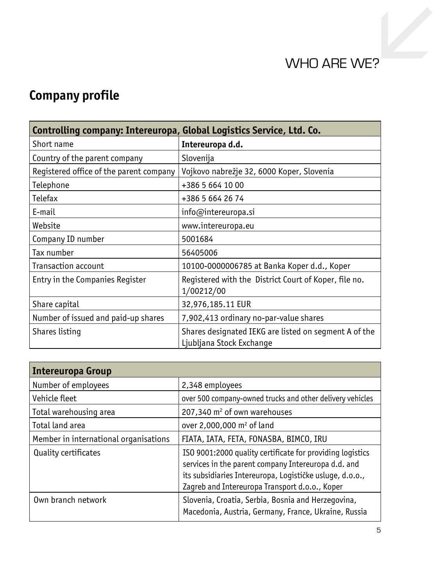# WHO ARE WE?

# **Company profile**

| Controlling company: Intereuropa, Global Logistics Service, Ltd. Co. |                                                                                   |  |  |  |  |
|----------------------------------------------------------------------|-----------------------------------------------------------------------------------|--|--|--|--|
| Short name                                                           | Intereuropa d.d.                                                                  |  |  |  |  |
| Country of the parent company                                        | Slovenija                                                                         |  |  |  |  |
| Registered office of the parent company                              | Vojkovo nabrežje 32, 6000 Koper, Slovenia                                         |  |  |  |  |
| Telephone                                                            | +386 5 664 10 00                                                                  |  |  |  |  |
| Telefax                                                              | +386 5 664 26 74                                                                  |  |  |  |  |
| E-mail                                                               | info@intereuropa.si                                                               |  |  |  |  |
| Website                                                              | www.intereuropa.eu                                                                |  |  |  |  |
| Company ID number                                                    | 5001684                                                                           |  |  |  |  |
| Tax number                                                           | 56405006                                                                          |  |  |  |  |
| Transaction account                                                  | 10100-0000006785 at Banka Koper d.d., Koper                                       |  |  |  |  |
| Entry in the Companies Register                                      | Registered with the District Court of Koper, file no.<br>1/00212/00               |  |  |  |  |
| Share capital                                                        | 32,976,185.11 EUR                                                                 |  |  |  |  |
| Number of issued and paid-up shares                                  | 7,902,413 ordinary no-par-value shares                                            |  |  |  |  |
| Shares listing                                                       | Shares designated IEKG are listed on segment A of the<br>Ljubljana Stock Exchange |  |  |  |  |

| Intereuropa Group                     |                                                                                                                                                                                                                                |
|---------------------------------------|--------------------------------------------------------------------------------------------------------------------------------------------------------------------------------------------------------------------------------|
| Number of employees                   | 2,348 employees                                                                                                                                                                                                                |
| Vehicle fleet                         | over 500 company-owned trucks and other delivery vehicles                                                                                                                                                                      |
| Total warehousing area                | 207,340 m <sup>2</sup> of own warehouses                                                                                                                                                                                       |
| Total land area                       | over 2,000,000 m <sup>2</sup> of land                                                                                                                                                                                          |
| Member in international organisations | FIATA, IATA, FETA, FONASBA, BIMCO, IRU                                                                                                                                                                                         |
| <b>Quality certificates</b>           | ISO 9001:2000 quality certificate for providing logistics<br>services in the parent company Intereuropa d.d. and<br>its subsidiaries Intereuropa, Logističke usluge, d.o.o.,<br>Zagreb and Intereuropa Transport d.o.o., Koper |
| Own branch network                    | Slovenia, Croatia, Serbia, Bosnia and Herzegovina,<br>Macedonia, Austria, Germany, France, Ukraine, Russia                                                                                                                     |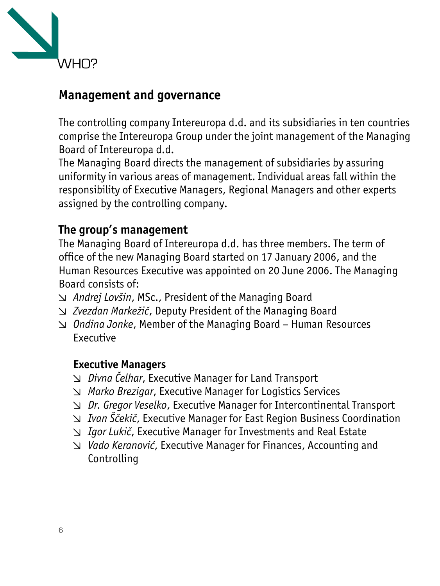

# **Management and governance**

The controlling company Intereuropa d.d. and its subsidiaries in ten countries comprise the Intereuropa Group under the joint management of the Managing Board of Intereuropa d.d.

The Managing Board directs the management of subsidiaries by assuring uniformity in various areas of management. Individual areas fall within the responsibility of Executive Managers, Regional Managers and other experts assigned by the controlling company.

## **The group's management**

The Managing Board of Intereuropa d.d. has three members. The term of office of the new Managing Board started on 17 January 2006, and the Human Resources Executive was appointed on 20 June 2006. The Managing Board consists of:

- *Andrej Lovšin*, MSc., President of the Managing Board
- *Zvezdan Markežič*, Deputy President of the Managing Board
- *Ondina Jonke*, Member of the Managing Board Human Resources Executive

#### **Executive Managers**

- *Divna Čelhar*, Executive Manager for Land Transport
- *Marko Brezigar*, Executive Manager for Logistics Services
- *Dr. Gregor Veselko*, Executive Manager for Intercontinental Transport
- *Ivan Ščekič*, Executive Manager for East Region Business Coordination
- *Igor Lukič*, Executive Manager for Investments and Real Estate
- *Vado Keranović*, Executive Manager for Finances, Accounting and Controlling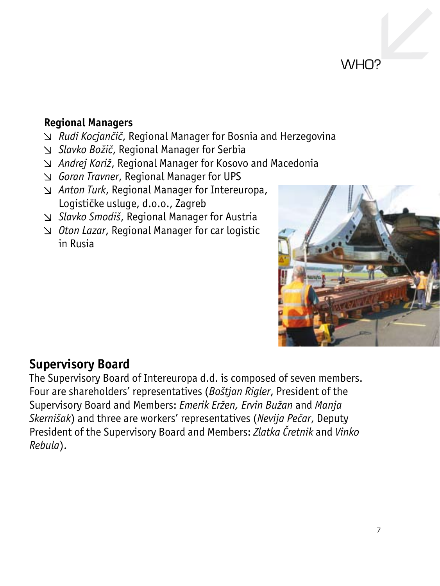# WH<sub>O</sub>?

#### **Regional Managers**

- *Rudi Kocjančič*, Regional Manager for Bosnia and Herzegovina
- *Slavko Božič*, Regional Manager for Serbia
- *Andrej Kariž*, Regional Manager for Kosovo and Macedonia
- *Goran Travner*, Regional Manager for UPS
- *Anton Turk*, Regional Manager for Intereuropa, Logističke usluge, d.o.o., Zagreb
- *Slavko Smodiš*, Regional Manager for Austria
- *Oton Lazar*, Regional Manager for car logistic in Rusia



## **Supervisory Board**

The Supervisory Board of Intereuropa d.d. is composed of seven members. Four are shareholders' representatives (*Boštjan Rigler*, President of the Supervisory Board and Members: *Emerik Eržen, Ervin Bužan* and *Manja Skernišak*) and three are workers' representatives (*Nevija Pečar*, Deputy President of the Supervisory Board and Members: *Zlatka Čretnik* and *Vinko Rebula*).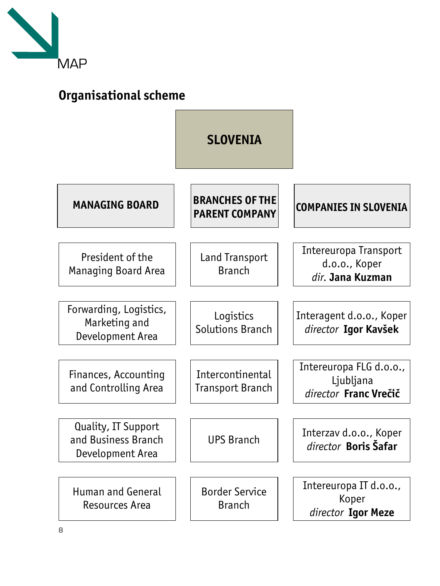

# **Organisational scheme**

|                                                                | <b>SLOVENIA</b>                                 |                                                               |
|----------------------------------------------------------------|-------------------------------------------------|---------------------------------------------------------------|
| <b>MANAGING BOARD</b>                                          | <b>BRANCHES OF THE</b><br><b>PARENT COMPANY</b> | <b>COMPANIES IN SLOVENIA</b>                                  |
| President of the<br><b>Managing Board Area</b>                 | <b>Land Transport</b><br><b>Branch</b>          | Intereuropa Transport<br>d.o.o., Koper<br>dir. Jana Kuzman    |
| Forwarding, Logistics,<br>Marketing and<br>Development Area    | Logistics<br>Solutions Branch                   | Interagent d.o.o., Koper<br>director Igor Kavšek              |
| Finances, Accounting<br>and Controlling Area                   | Intercontinental<br>Transport Branch            | Intereuropa FLG d.o.o.,<br>Ljubljana<br>director Franc Vrečič |
| Quality, IT Support<br>and Business Branch<br>Development Area | <b>UPS Branch</b>                               | Interzav d.o.o., Koper<br>director Boris Šafar                |
| <b>Human and General</b><br>Resources Area                     | <b>Border Service</b><br><b>Branch</b>          | Intereuropa IT d.o.o.,<br>Koper<br>director Igor Meze         |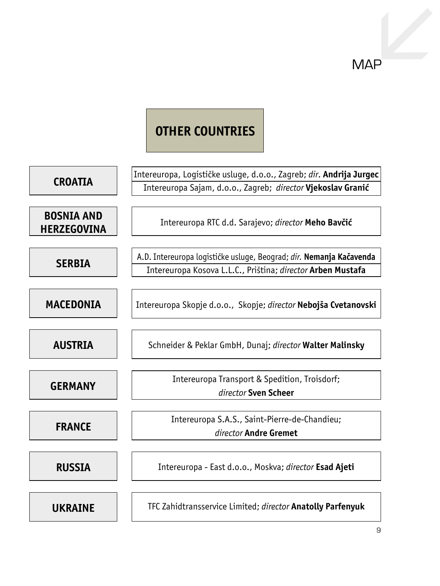# **MAP**

## **OTHER COUNTRIES**

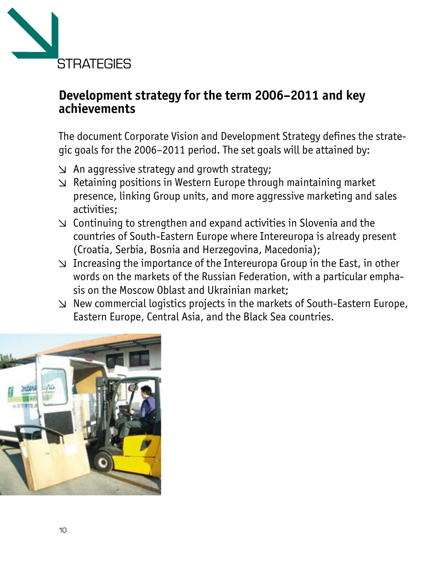

## **Development strategy for the term 2006–2011 and key achievements**

The document Corporate Vision and Development Strategy defines the strategic goals for the 2006–2011 period. The set goals will be attained by:

- $\vee$  An aggressive strategy and growth strategy;
- $\vee$  Retaining positions in Western Europe through maintaining market presence, linking Group units, and more aggressive marketing and sales activities;
- $\vee$  Continuing to strengthen and expand activities in Slovenia and the countries of South-Eastern Europe where Intereuropa is already present (Croatia, Serbia, Bosnia and Herzegovina, Macedonia);
- $\vee$  Increasing the importance of the Intereuropa Group in the East, in other words on the markets of the Russian Federation, with a particular emphasis on the Moscow Oblast and Ukrainian market;
- $\vee$  New commercial logistics projects in the markets of South-Eastern Europe, Eastern Europe, Central Asia, and the Black Sea countries.

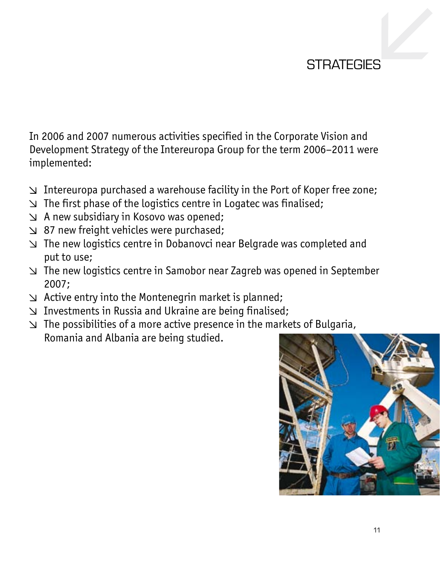## STRATEGIES

In 2006 and 2007 numerous activities specified in the Corporate Vision and Development Strategy of the Intereuropa Group for the term 2006–2011 were implemented:

- $\vee$  Intereuropa purchased a warehouse facility in the Port of Koper free zone;
- $\vee$  The first phase of the logistics centre in Logatec was finalised;
- $\vee$  A new subsidiary in Kosovo was opened;
- $\vee$  87 new freight vehicles were purchased;
- The new logistics centre in Dobanovci near Belgrade was completed and put to use;
- $\vee$  The new logistics centre in Samobor near Zagreb was opened in September 2007;
- $\vee$  Active entry into the Montenegrin market is planned;
- Investments in Russia and Ukraine are being finalised;
- $\vee$  The possibilities of a more active presence in the markets of Bulgaria, Romania and Albania are being studied.

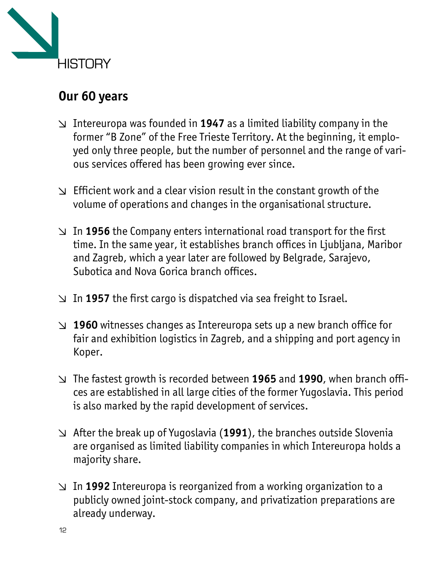

# **Our 60 years**

- Intereuropa was founded in **1947** as a limited liability company in the former "B Zone" of the Free Trieste Territory. At the beginning, it employed only three people, but the number of personnel and the range of various services offered has been growing ever since.
- $\vee$  Efficient work and a clear vision result in the constant growth of the volume of operations and changes in the organisational structure.
- In **1956** the Company enters international road transport for the first time. In the same year, it establishes branch offices in Ljubljana, Maribor and Zagreb, which a year later are followed by Belgrade, Sarajevo, Subotica and Nova Gorica branch offices.
- In **1957** the first cargo is dispatched via sea freight to Israel.
- **1960** witnesses changes as Intereuropa sets up a new branch office for fair and exhibition logistics in Zagreb, and a shipping and port agency in Koper.
- The fastest growth is recorded between **1965** and **1990**, when branch offices are established in all large cities of the former Yugoslavia. This period is also marked by the rapid development of services.
- After the break up of Yugoslavia (**1991**), the branches outside Slovenia are organised as limited liability companies in which Intereuropa holds a majority share.
- In **1992** Intereuropa is reorganized from a working organization to a publicly owned joint-stock company, and privatization preparations are already underway.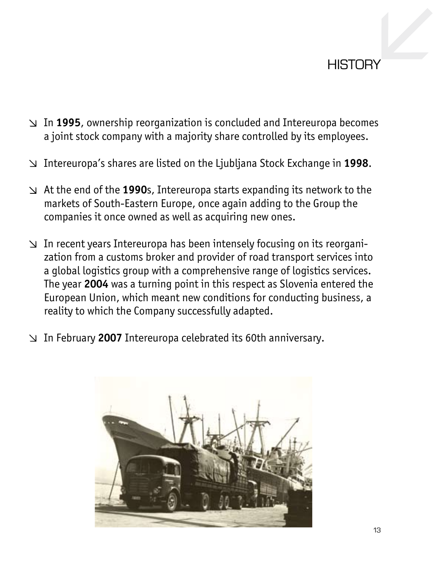## **HISTORY**

- In **1995**, ownership reorganization is concluded and Intereuropa becomes a joint stock company with a majority share controlled by its employees.
- Intereuropa's shares are listed on the Ljubljana Stock Exchange in **1998**.
- At the end of the **1990**s, Intereuropa starts expanding its network to the markets of South-Eastern Europe, once again adding to the Group the companies it once owned as well as acquiring new ones.
- $\vee$  In recent years Intereuropa has been intensely focusing on its reorganization from a customs broker and provider of road transport services into a global logistics group with a comprehensive range of logistics services. The year **2004** was a turning point in this respect as Slovenia entered the European Union, which meant new conditions for conducting business, a reality to which the Company successfully adapted.
- In February **2007** Intereuropa celebrated its 60th anniversary.

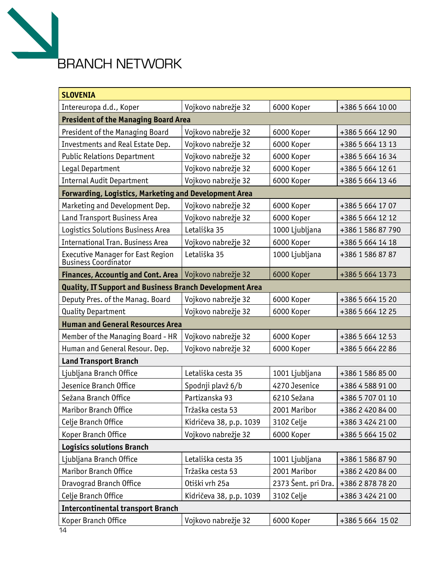

| <b>SLOVENIA</b>                                                 |                         |                     |                   |  |  |
|-----------------------------------------------------------------|-------------------------|---------------------|-------------------|--|--|
| Intereuropa d.d., Koper                                         | Vojkovo nabrežje 32     | 6000 Koper          | +386 5 664 10 00  |  |  |
| <b>President of the Managing Board Area</b>                     |                         |                     |                   |  |  |
| President of the Managing Board                                 | Vojkovo nabrežje 32     | 6000 Koper          | +386 5 664 12 90  |  |  |
| Investments and Real Estate Dep.                                | Vojkovo nabrežje 32     | 6000 Koper          | +386 5 664 13 13  |  |  |
| <b>Public Relations Department</b>                              | Vojkovo nabrežje 32     | 6000 Koper          | +386 5 664 16 34  |  |  |
| Legal Department                                                | Vojkovo nabrežje 32     | 6000 Koper          | +386 5 664 12 61  |  |  |
| <b>Internal Audit Department</b>                                | Vojkovo nabrežje 32     | 6000 Koper          | +386 5 664 13 46  |  |  |
| <b>Forwarding, Logistics, Marketing and Development Area</b>    |                         |                     |                   |  |  |
| Marketing and Development Dep.                                  | Vojkovo nabrežje 32     | 6000 Koper          | +386 5 664 17 07  |  |  |
| Land Transport Business Area                                    | Vojkovo nabrežje 32     | 6000 Koper          | +386 5 664 12 12  |  |  |
| Logistics Solutions Business Area                               | Letališka 35            | 1000 Ljubljana      | +386 1 586 87 790 |  |  |
| <b>International Tran. Business Area</b>                        | Vojkovo nabrežje 32     | 6000 Koper          | +386 5 664 14 18  |  |  |
| Executive Manager for East Region<br>Business Coordinator       | Letališka 35            | 1000 Ljubljana      | +386 1 586 87 87  |  |  |
| <b>Finances, Accountig and Cont. Area</b>                       | Vojkovo nabrežje 32     | 6000 Koper          | +386 5 664 13 73  |  |  |
| <b>Quality, IT Support and Business Branch Development Area</b> |                         |                     |                   |  |  |
| Deputy Pres. of the Manag. Board                                | Vojkovo nabrežje 32     | 6000 Koper          | +386 5 664 15 20  |  |  |
| <b>Quality Department</b>                                       | Vojkovo nabrežje 32     | 6000 Koper          | +386 5 664 12 25  |  |  |
| <b>Human and General Resources Area</b>                         |                         |                     |                   |  |  |
| Member of the Managing Board - HR                               | Vojkovo nabrežje 32     | 6000 Koper          | +386 5 664 12 53  |  |  |
| Human and General Resour. Dep.                                  | Vojkovo nabrežje 32     | 6000 Koper          | +386 5 664 22 86  |  |  |
| <b>Land Transport Branch</b>                                    |                         |                     |                   |  |  |
| Liubliana Branch Office                                         | Letališka cesta 35      | 1001 Ljubljana      | +386 1 586 85 00  |  |  |
| Jesenice Branch Office                                          | Spodnji plavž 6/b       | 4270 Jesenice       | +386 4 588 91 00  |  |  |
| Sežana Branch Office                                            | Partizanska 93          | 6210 Sežana         | +386 5 707 01 10  |  |  |
| Maribor Branch Office                                           | Tržaška cesta 53        | 2001 Maribor        | +386 2 420 84 00  |  |  |
| Celie Branch Office                                             | Kidričeva 38, p.p. 1039 | 3102 Celje          | +386 3 424 21 00  |  |  |
| Koper Branch Office                                             | Vojkovo nabrežje 32     | 6000 Koper          | +386 5 664 15 02  |  |  |
| <b>Logisics solutions Branch</b>                                |                         |                     |                   |  |  |
| Liubliana Branch Office                                         | Letališka cesta 35      | 1001 Ljubljana      | +386 1 586 87 90  |  |  |
| Maribor Branch Office                                           | Tržaška cesta 53        | 2001 Maribor        | +386 2 420 84 00  |  |  |
| Dravograd Branch Office                                         | Otiški vrh 25a          | 2373 Šent. pri Dra. | +386 2 878 78 20  |  |  |
| Celje Branch Office                                             | Kidričeva 38, p.p. 1039 | 3102 Celje          | +386 3 424 21 00  |  |  |
| <b>Intercontinental transport Branch</b>                        |                         |                     |                   |  |  |
| Koper Branch Office                                             | Vojkovo nabrežje 32     | 6000 Koper          | +386 5 664 15 02  |  |  |
| 14                                                              |                         |                     |                   |  |  |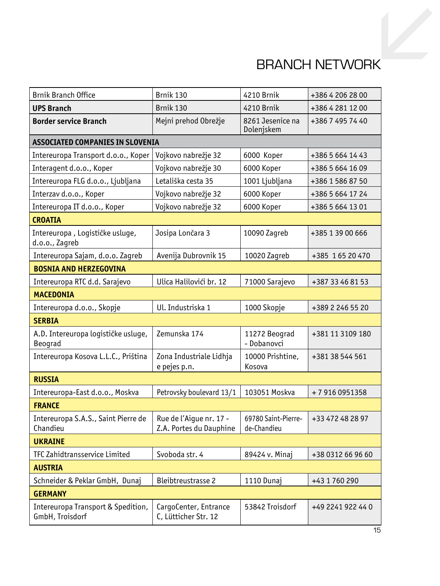# BRANCH NETWORK

| <b>Brnik Branch Office</b>                            | Brnik 130                                          | 4210 Brnik                         | +386 4 206 28 00  |  |  |
|-------------------------------------------------------|----------------------------------------------------|------------------------------------|-------------------|--|--|
| <b>UPS Branch</b>                                     | Brnik 130                                          | 4210 Brnik                         | +386 4 281 12 00  |  |  |
| <b>Border service Branch</b>                          | Mejni prehod Obrežje                               | 8261 Jesenice na<br>Dolenjskem     | +386 7 495 74 40  |  |  |
| ASSOCIATED COMPANIES IN SLOVENIA                      |                                                    |                                    |                   |  |  |
| Intereuropa Transport d.o.o., Koper                   | Vojkovo nabrežje 32                                | 6000 Koper                         | +386 5 664 14 43  |  |  |
| Interagent d.o.o., Koper                              | Vojkovo nabrežje 30                                | 6000 Koper                         | +386 5 664 16 09  |  |  |
| Intereuropa FLG d.o.o., Ljubljana                     | Letališka cesta 35                                 | 1001 Ljubljana                     | +386 1 586 87 50  |  |  |
| Interzav d.o.o., Koper                                | Vojkovo nabrežje 32                                | 6000 Koper                         | +386 5 664 17 24  |  |  |
| Intereuropa IT d.o.o., Koper                          | Vojkovo nabrežje 32                                | 6000 Koper                         | +386 5 664 13 01  |  |  |
| <b>CROATIA</b>                                        |                                                    |                                    |                   |  |  |
| Intereuropa, Logističke usluge,<br>d.o.o., Zagreb     | Josipa Lončara 3                                   | 10090 Zagreb                       | +385 1 39 00 666  |  |  |
| Intereuropa Sajam, d.o.o. Zagreb                      | Avenija Dubrovnik 15                               | 10020 Zagreb                       | +385 1 65 20 470  |  |  |
| <b>BOSNIA AND HERZEGOVINA</b>                         |                                                    |                                    |                   |  |  |
| Intereuropa RTC d.d. Sarajevo                         | Ulica Halilovići br. 12                            | 71000 Sarajevo                     | +387 33 46 81 53  |  |  |
| <b>MACEDONIA</b>                                      |                                                    |                                    |                   |  |  |
| Intereuropa d.o.o., Skopje                            | Ul. Industriska 1                                  | 1000 Skopje                        | +389 2 246 55 20  |  |  |
| <b>SERBIA</b>                                         |                                                    |                                    |                   |  |  |
| A.D. Intereuropa logističke usluge,<br>Beograd        | Zemunska 174                                       | 11272 Beograd<br>- Dobanovci       | +381 11 3109 180  |  |  |
| Intereuropa Kosova L.L.C., Priština                   | Zona Industriale Lidhja<br>e pejes p.n.            | 10000 Prishtine,<br>Kosova         | +381 38 544 561   |  |  |
| <b>RUSSIA</b>                                         |                                                    |                                    |                   |  |  |
| Intereuropa-East d.o.o., Moskva                       | Petrovsky boulevard 13/1                           | 103051 Moskva                      | +79160951358      |  |  |
| <b>FRANCE</b>                                         |                                                    |                                    |                   |  |  |
| Intereuropa S.A.S., Saint Pierre de<br>Chandieu       | Rue de l'Aique nr. 17 -<br>Z.A. Portes du Dauphine | 69780 Saint-Pierre-<br>de-Chandieu | +33 472 48 28 97  |  |  |
| <b>UKRAINE</b>                                        |                                                    |                                    |                   |  |  |
| TFC Zahidtransservice Limited                         | Svoboda str. 4                                     | 89424 v. Minaj                     | +38 0312 66 96 60 |  |  |
| <b>AUSTRIA</b>                                        |                                                    |                                    |                   |  |  |
| Schneider & Peklar GmbH, Dunaj                        | <b>Bleibtreustrasse 2</b>                          | 1110 Dunaj                         | +43 1 760 290     |  |  |
| <b>GERMANY</b>                                        |                                                    |                                    |                   |  |  |
| Intereuropa Transport & Spedition,<br>GmbH, Troisdorf | CargoCenter, Entrance<br>C, Lütticher Str. 12      | 53842 Troisdorf                    | +49 2241 922 44 0 |  |  |